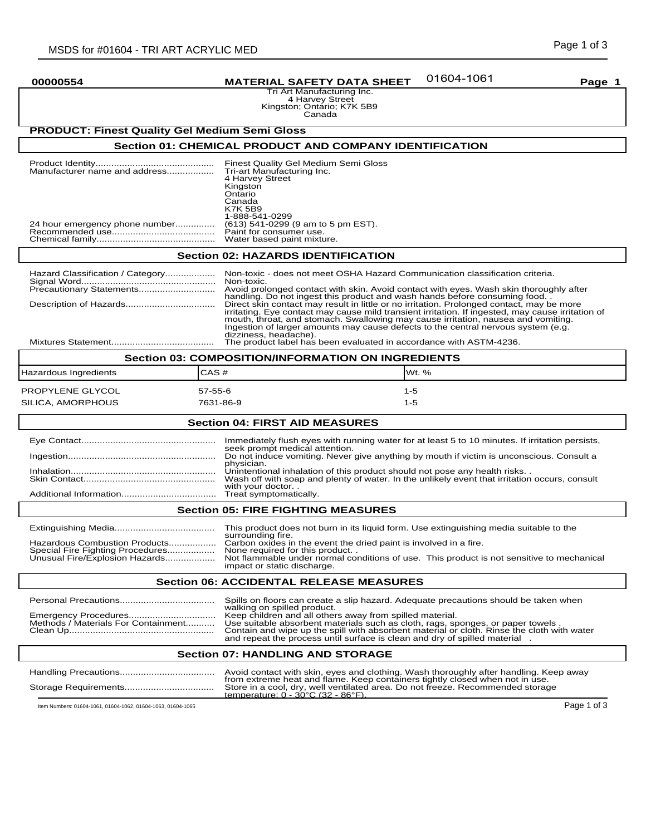# **00000554 MATERIAL SAFETY DATA SHEET Page 1**

Tri Art Manufacturing Inc. 4 Harvey Street Kingston; Ontario; K7K 5B9 Canada

# **PRODUCT: Finest Quality Gel Medium Semi Gloss**

# **Section 01: CHEMICAL PRODUCT AND COMPANY IDENTIFICATION**

| Manufacturer name and address  | Finest Quality Gel Medium Semi Gloss<br>Tri-art Manufacturing Inc.<br>4 Harvey Street<br>Kingston<br>Ontario<br>Canada<br><b>K7K 5B9</b><br>1-888-541-0299 |  |
|--------------------------------|------------------------------------------------------------------------------------------------------------------------------------------------------------|--|
| 24 hour emergency phone number | (613) 541-0299 (9 am to 5 pm EST).                                                                                                                         |  |
|                                | Paint for consumer use.                                                                                                                                    |  |
|                                | Water based paint mixture.                                                                                                                                 |  |

# **Section 02: HAZARDS IDENTIFICATION**

| Hazard Classification / Category                   | Non-toxic - does not meet OSHA Hazard Communication classification criteria.<br>Non-toxic.                                                                                                                                                                                                                                                                                                        |  |
|----------------------------------------------------|---------------------------------------------------------------------------------------------------------------------------------------------------------------------------------------------------------------------------------------------------------------------------------------------------------------------------------------------------------------------------------------------------|--|
|                                                    | Avoid prolonged contact with skin. Avoid contact with eyes. Wash skin thoroughly after<br>handling. Do not ingest this product and wash hands before consuming food.                                                                                                                                                                                                                              |  |
|                                                    | Direct skin contact may result in little or no irritation. Prolonged contact, may be more<br>irritating. Eye contact may cause mild transient irritation. If ingested, may cause irritation of<br>mouth, throat, and stomach. Swallowing may cause irritation, nausea and vomiting.<br>Ingestion of larger amounts may cause defects to the central nervous system (e.g.<br>dizziness, headache). |  |
|                                                    | The product label has been evaluated in accordance with ASTM-4236.                                                                                                                                                                                                                                                                                                                                |  |
| Section 03: COMPOSITION/INFORMATION ON INGREDIENTS |                                                                                                                                                                                                                                                                                                                                                                                                   |  |

| <b>SECTION 03: COMPOSITION/INFORMATION ON INGREDIENTS</b> |                            |                  |  |
|-----------------------------------------------------------|----------------------------|------------------|--|
| Hazardous Ingredients                                     | CAS#                       | IWt. $%$         |  |
| PROPYLENE GLYCOL<br>SILICA, AMORPHOUS                     | $57 - 55 - 6$<br>7631-86-9 | $1-5$<br>$1 - 5$ |  |
|                                                           |                            |                  |  |

## **Section 04: FIRST AID MEASURES**

| Immediately flush eyes with running water for at least 5 to 10 minutes. If irritation persists,                                                                                                   |
|---------------------------------------------------------------------------------------------------------------------------------------------------------------------------------------------------|
| seek prompt medical attention.<br>Do not induce vomiting. Never give anything by mouth if victim is unconscious. Consult a<br>physician.                                                          |
| Unintentional inhalation of this product should not pose any health risks. .<br>Wash off with soap and plenty of water. In the unlikely event that irritation occurs, consult<br>with your doctor |
|                                                                                                                                                                                                   |

# **Section 05: FIRE FIGHTING MEASURES**

|                                  | This product does not burn in its liquid form. Use extinguishing media suitable to the    |  |
|----------------------------------|-------------------------------------------------------------------------------------------|--|
|                                  | surrounding fire.                                                                         |  |
| Hazardous Combustion Products    | Carbon oxides in the event the dried paint is involved in a fire.                         |  |
| Special Fire Fighting Procedures | None required for this product                                                            |  |
| Unusual Fire/Explosion Hazards   | Not flammable under normal conditions of use. This product is not sensitive to mechanical |  |
|                                  | impact or static discharge.                                                               |  |

### **Section 06: ACCIDENTAL RELEASE MEASURES**

|                                     | Spills on floors can create a slip hazard. Adequate precautions should be taken when<br>walking on spilled product.                                                                                                                                                                                                    |
|-------------------------------------|------------------------------------------------------------------------------------------------------------------------------------------------------------------------------------------------------------------------------------------------------------------------------------------------------------------------|
| Methods / Materials For Containment | Keep children and all others away from spilled material.<br>Use suitable absorbent materials such as cloth, rags, sponges, or paper towels.<br>Contain and wipe up the spill with absorbent material or cloth. Rinse the cloth with water<br>and repeat the process until surface is clean and dry of spilled material |

# **Section 07: HANDLING AND STORAGE**

|                                                              | Avoid contact with skin, eyes and clothing. Wash thoroughly after handling. Keep away<br>from extreme heat and flame. Keep containers tightly closed when not in use. |             |
|--------------------------------------------------------------|-----------------------------------------------------------------------------------------------------------------------------------------------------------------------|-------------|
| Storage Requirements                                         | Store in a cool, dry, well ventilated area. Do not freeze. Recommended storage<br>temperature: $0 - 30^{\circ}$ C (32 - 86 $^{\circ}$ F).                             |             |
| Item Numbers: 01604-1061, 01604-1062, 01604-1063, 01604-1065 |                                                                                                                                                                       | Page 1 of 3 |

# 01604-1061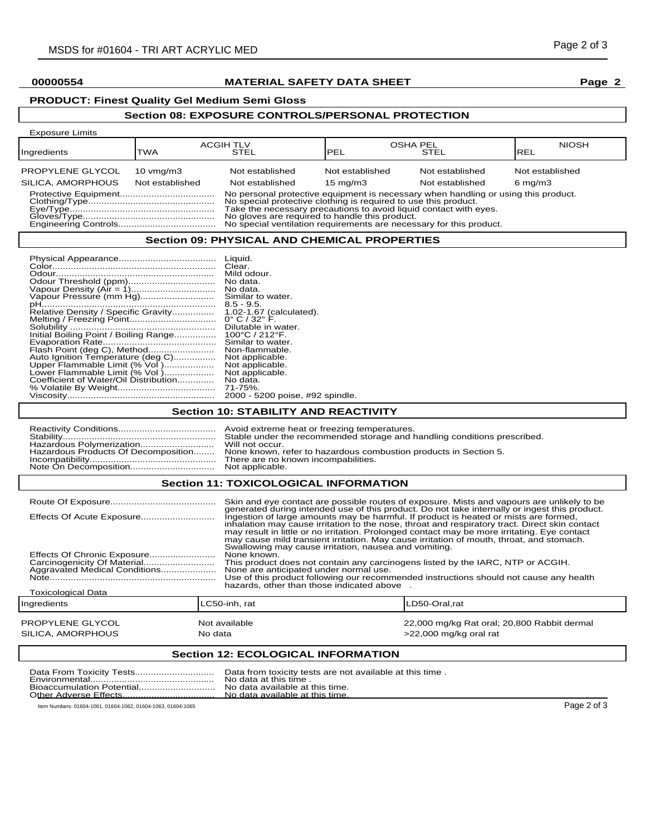# **00000554 MATERIAL SAFETY DATA SHEET Page 2**

# **PRODUCT: Finest Quality Gel Medium Semi Gloss**

# **Section 08: EXPOSURE CONTROLS/PERSONAL PROTECTION**

| <b>Exposure Limits</b>                                                                                                                                                                                                                                                                                                                              |                                         |                                    |                                      |                                    |                                       |
|-----------------------------------------------------------------------------------------------------------------------------------------------------------------------------------------------------------------------------------------------------------------------------------------------------------------------------------------------------|-----------------------------------------|------------------------------------|--------------------------------------|------------------------------------|---------------------------------------|
| Ingredients                                                                                                                                                                                                                                                                                                                                         | TWA                                     | <b>ACGIH TLV</b><br>STEL           | <b>OSHA PEL</b><br> PEL              | STEL                               | <b>NIOSH</b><br><b>REL</b>            |
| PROPYLENE GLYCOL<br>SILICA, AMORPHOUS                                                                                                                                                                                                                                                                                                               | $10 \text{ vmq/m}$ 3<br>Not established | Not established<br>Not established | Not established<br>$15 \text{ mg/m}$ | Not established<br>Not established | Not established<br>$6 \text{ mg/m}$ 3 |
| No personal protective equipment is necessary when handling or using this product.<br>No special protective clothing is required to use this product.<br>Take the necessary precautions to avoid liquid contact with eyes.<br>No gloves are required to handle this product.<br>No special ventilation requirements are necessary for this product. |                                         |                                    |                                      |                                    |                                       |
| - -                                                                                                                                                                                                                                                                                                                                                 |                                         |                                    |                                      |                                    |                                       |

### **Section 09: PHYSICAL AND CHEMICAL PROPERTIES**

|                                       | Liquid.                             |
|---------------------------------------|-------------------------------------|
|                                       |                                     |
|                                       | Clear.                              |
|                                       | Mild odour.                         |
|                                       | No data.                            |
| Vapour Density (Air = 1)              | No data.                            |
| Vapour Pressure (mm Hg)               | Similar to water.                   |
| pH<br>                                | $8.5 - 9.5$                         |
| Relative Density / Specific Gravity   | 1.02-1.67 (calculated).             |
|                                       | $0^{\circ}$ C / 32 $^{\circ}$ F.    |
|                                       | Dilutable in water.                 |
| Initial Boiling Point / Boiling Range | $100^{\circ}$ C / 212 $^{\circ}$ F. |
|                                       | Similar to water.                   |
| Flash Point (deg C), Method           | Non-flammable.                      |
| Auto Ignition Temperature (deg C)     | Not applicable.                     |
| Upper Flammable Limit (% Vol)         | Not applicable.                     |
| Lower Flammable Limit (% Vol)         | Not applicable.                     |
| Coefficient of Water/Oil Distribution | No data.                            |
|                                       | 71-75%.                             |
|                                       | 2000 - 5200 poise, #92 spindle.     |

# **Section 10: STABILITY AND REACTIVITY**

# **Section 11: TOXICOLOGICAL INFORMATION**

| Effects Of Chronic Exposure<br>Aggravated Medical Conditions | None known.                        | Skin and eye contact are possible routes of exposure. Mists and vapours are unlikely to be<br>generated during intended use of this product. Do not take internally or ingest this product.<br>Ingestion of large amounts may be harmful. If product is heated or mists are formed,<br>inhalation may cause irritation to the nose, throat and respiratory tract. Direct skin contact<br>may result in little or no irritation. Prolonged contact may be more irritating. Eye contact<br>may cause mild transient irritation. May cause irritation of mouth, throat, and stomach.<br>Swallowing may cause irritation, nausea and vomiting.<br>This product does not contain any carcinogens listed by the IARC, NTP or ACGIH.<br>None are anticipated under normal use.<br>Use of this product following our recommended instructions should not cause any health<br>hazards, other than those indicated above |  |
|--------------------------------------------------------------|------------------------------------|----------------------------------------------------------------------------------------------------------------------------------------------------------------------------------------------------------------------------------------------------------------------------------------------------------------------------------------------------------------------------------------------------------------------------------------------------------------------------------------------------------------------------------------------------------------------------------------------------------------------------------------------------------------------------------------------------------------------------------------------------------------------------------------------------------------------------------------------------------------------------------------------------------------|--|
| <b>Toxicological Data</b>                                    |                                    |                                                                                                                                                                                                                                                                                                                                                                                                                                                                                                                                                                                                                                                                                                                                                                                                                                                                                                                |  |
| Ingredients                                                  | LC50-inh. rat                      | _D50-Oral.rat                                                                                                                                                                                                                                                                                                                                                                                                                                                                                                                                                                                                                                                                                                                                                                                                                                                                                                  |  |
| PROPYLENE GLYCOL<br>SILICA. AMORPHOUS                        | Not available<br>No data           | 22,000 mg/kg Rat oral; 20,800 Rabbit dermal<br>>22,000 mg/kg oral rat                                                                                                                                                                                                                                                                                                                                                                                                                                                                                                                                                                                                                                                                                                                                                                                                                                          |  |
|                                                              | Section 12: ECOLOGICAL INFORMATION |                                                                                                                                                                                                                                                                                                                                                                                                                                                                                                                                                                                                                                                                                                                                                                                                                                                                                                                |  |

#### **Section 12: ECOLOGICAL INFORMATION**

|                                                              | Data from toxicity tests are not available at this time.<br>No data at this time.<br>No data available at this time. |             |
|--------------------------------------------------------------|----------------------------------------------------------------------------------------------------------------------|-------------|
| Item Numbers: 01604-1061, 01604-1062, 01604-1063, 01604-1065 |                                                                                                                      | Page 2 of 3 |